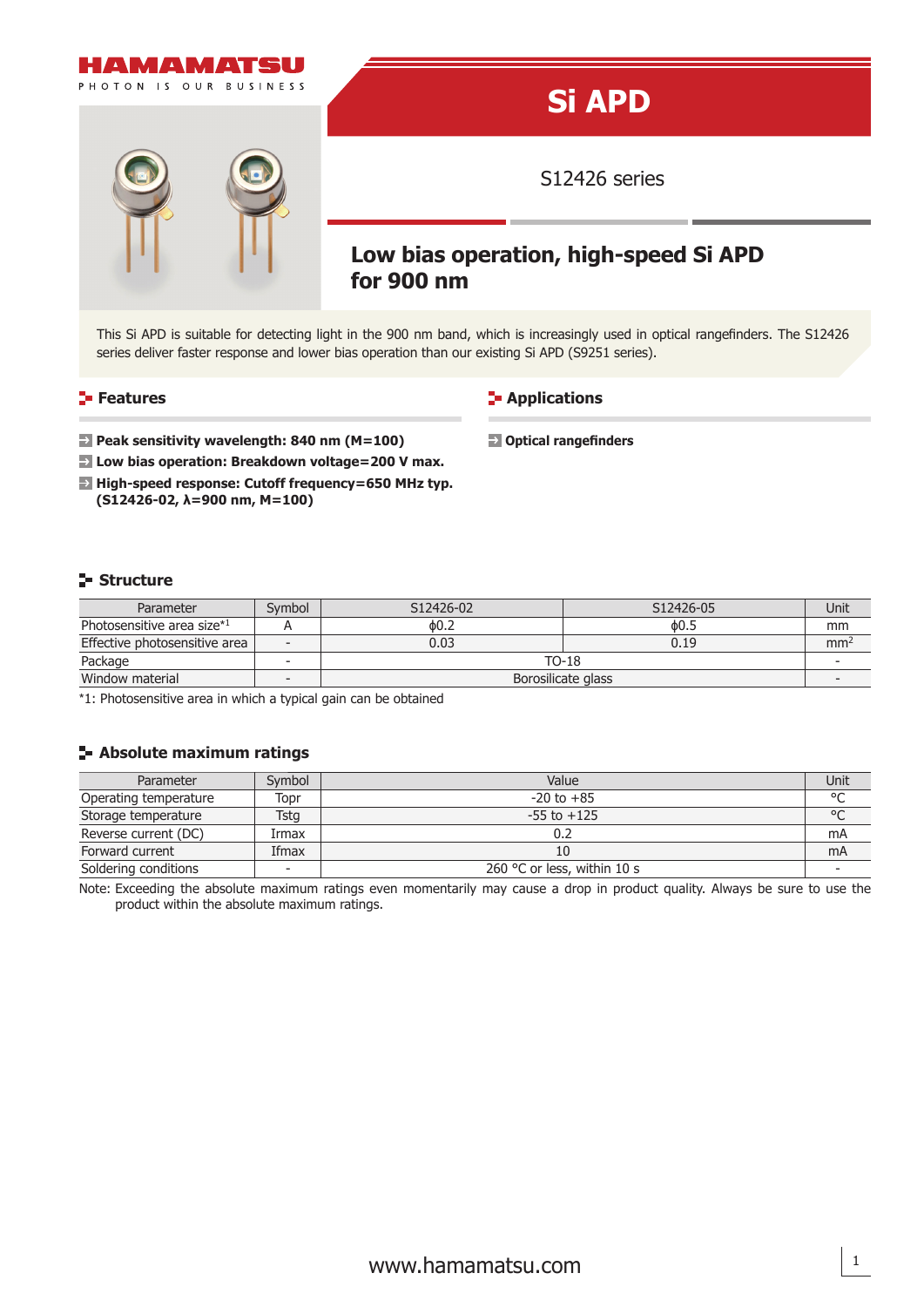

This Si APD is suitable for detecting light in the 900 nm band, which is increasingly used in optical rangefinders. The S12426 series deliver faster response and lower bias operation than our existing Si APD (S9251 series).

**Applications** 

**D** Optical rangefinders

#### **Features**

- **Peak sensitivity wavelength: 840 nm (M=100)**
- **Low bias operation: Breakdown voltage=200 V max.**
- **High-speed response: Cutoff frequency=650 MHz typ. (S12426-02, λ=900 nm, M=100)**

### **Structure**

| Parameter                     | Symbol | S12426-02          | S12426-05 | Unit            |
|-------------------------------|--------|--------------------|-----------|-----------------|
| Photosensitive area size*1    |        | 0.2                | ዕ0.5      | mm              |
| Effective photosensitive area |        | 0.03               | 0.19      | mm <sup>2</sup> |
| Package                       |        | $TO-18$            |           |                 |
| Window material               |        | Borosilicate glass |           |                 |

\*1: Photosensitive area in which a typical gain can be obtained

### **Absolute maximum ratings**

| Parameter             | Symbol | Value                       | Unit       |
|-----------------------|--------|-----------------------------|------------|
| Operating temperature | Topr   | $-20$ to $+85$              | $\circ$    |
| Storage temperature   | Tstg   | $-55$ to $+125$             | $^{\circ}$ |
| Reverse current (DC)  | Irmax  |                             | mA         |
| Forward current       | Ifmax  | 10                          | mA         |
| Soldering conditions  |        | 260 °C or less, within 10 s |            |

Note: Exceeding the absolute maximum ratings even momentarily may cause a drop in product quality. Always be sure to use the product within the absolute maximum ratings.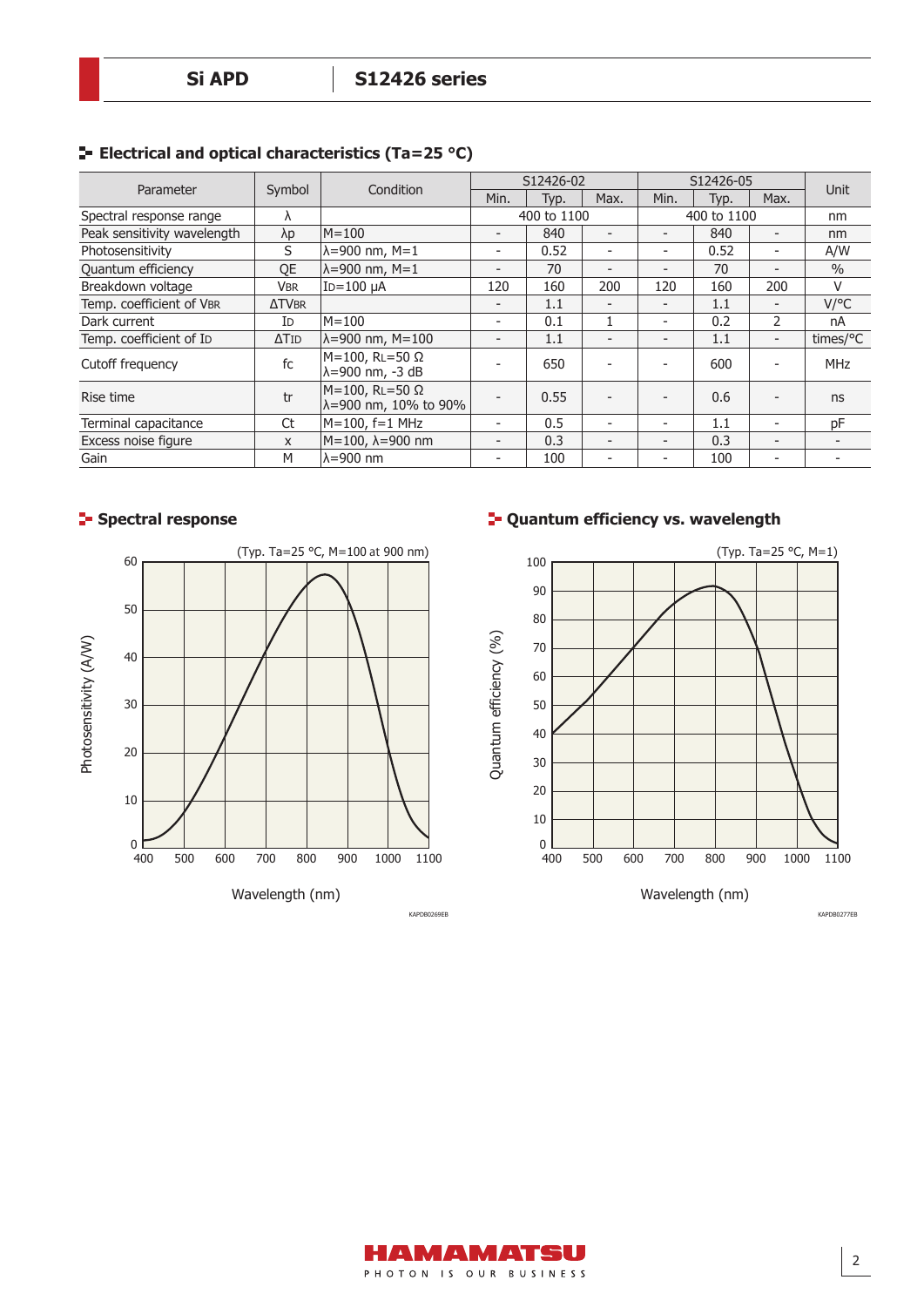| Parameter                   | Symbol       | Condition                                               | S12426-02                |      | S12426-05                |                          |      |                              |            |
|-----------------------------|--------------|---------------------------------------------------------|--------------------------|------|--------------------------|--------------------------|------|------------------------------|------------|
|                             |              |                                                         | Min.                     | Typ. | Max.                     | Min.                     | Typ. | Max.                         | Unit       |
| Spectral response range     | Λ            |                                                         | 400 to 1100              |      | 400 to 1100              |                          |      | nm                           |            |
| Peak sensitivity wavelength | λp           | $M = 100$                                               | $\overline{\phantom{a}}$ | 840  | $\overline{\phantom{0}}$ |                          | 840  | $\overline{\phantom{a}}$     | nm         |
| Photosensitivity            | S            | $\lambda = 900$ nm, M=1                                 | $\overline{\phantom{a}}$ | 0.52 | $\overline{\phantom{0}}$ | $\overline{\phantom{0}}$ | 0.52 | ۰                            | A/W        |
| Quantum efficiency          | QE           | $\lambda = 900$ nm, M=1                                 |                          | 70   |                          |                          | 70   | $\overline{\phantom{a}}$     | $\%$       |
| Breakdown voltage           | <b>VBR</b>   | $ID = 100 \mu A$                                        | 120                      | 160  | 200                      | 120                      | 160  | 200                          | V          |
| Temp. coefficient of VBR    | <b>ATVBR</b> |                                                         | $\overline{\phantom{0}}$ | 1.1  |                          |                          | 1.1  | $\overline{\phantom{a}}$     | $V$ /°C    |
| Dark current                | ID           | $M = 100$                                               | $\overline{\phantom{a}}$ | 0.1  | 1                        | $\overline{\phantom{0}}$ | 0.2  | $\overline{2}$               | nA         |
| Temp. coefficient of ID     | $\Delta$ TID | $\lambda = 900$ nm, M=100                               | $\overline{\phantom{0}}$ | 1.1  |                          | $\overline{\phantom{0}}$ | 1.1  | $\qquad \qquad \blacksquare$ | times/°C   |
| Cutoff frequency            | fc           | $M=100$ , RL=50 $\Omega$<br>$\lambda = 900$ nm, $-3$ dB |                          | 650  |                          |                          | 600  | ۰                            | <b>MHz</b> |
| Rise time                   | tr           | $M=100$ , RL=50 $\Omega$<br>λ=900 nm, 10% to 90%        |                          | 0.55 |                          |                          | 0.6  | -                            | ns         |
| Terminal capacitance        | Ct           | $M=100$ , f=1 MHz                                       | $\overline{\phantom{a}}$ | 0.5  |                          |                          | 1.1  | -                            | pF         |
| Excess noise figure         | X            | M=100, λ=900 nm                                         | $\overline{\phantom{0}}$ | 0.3  |                          |                          | 0.3  | $\overline{\phantom{a}}$     |            |
| Gain                        | М            | $\lambda = 900$ nm                                      | $\overline{\phantom{a}}$ | 100  |                          |                          | 100  | -                            |            |

# **ELECTRICAL AND OPTICAL CHARACTERIST ENDINGLES ELECTRICITY**



# **Spectral response COVE 10 AT A COVERT 10 AT A COVERT 10 AT A COVERT 10 AT A COVERT 10 AT A COVERT 10 AT A COVERT 10 AT A COVERT 10 AT A COVERT 10 AT A COVERT 10 AT A COVERT 10 AT A COVERT 10 AT A COVERT 10 AT A COVERT 1**



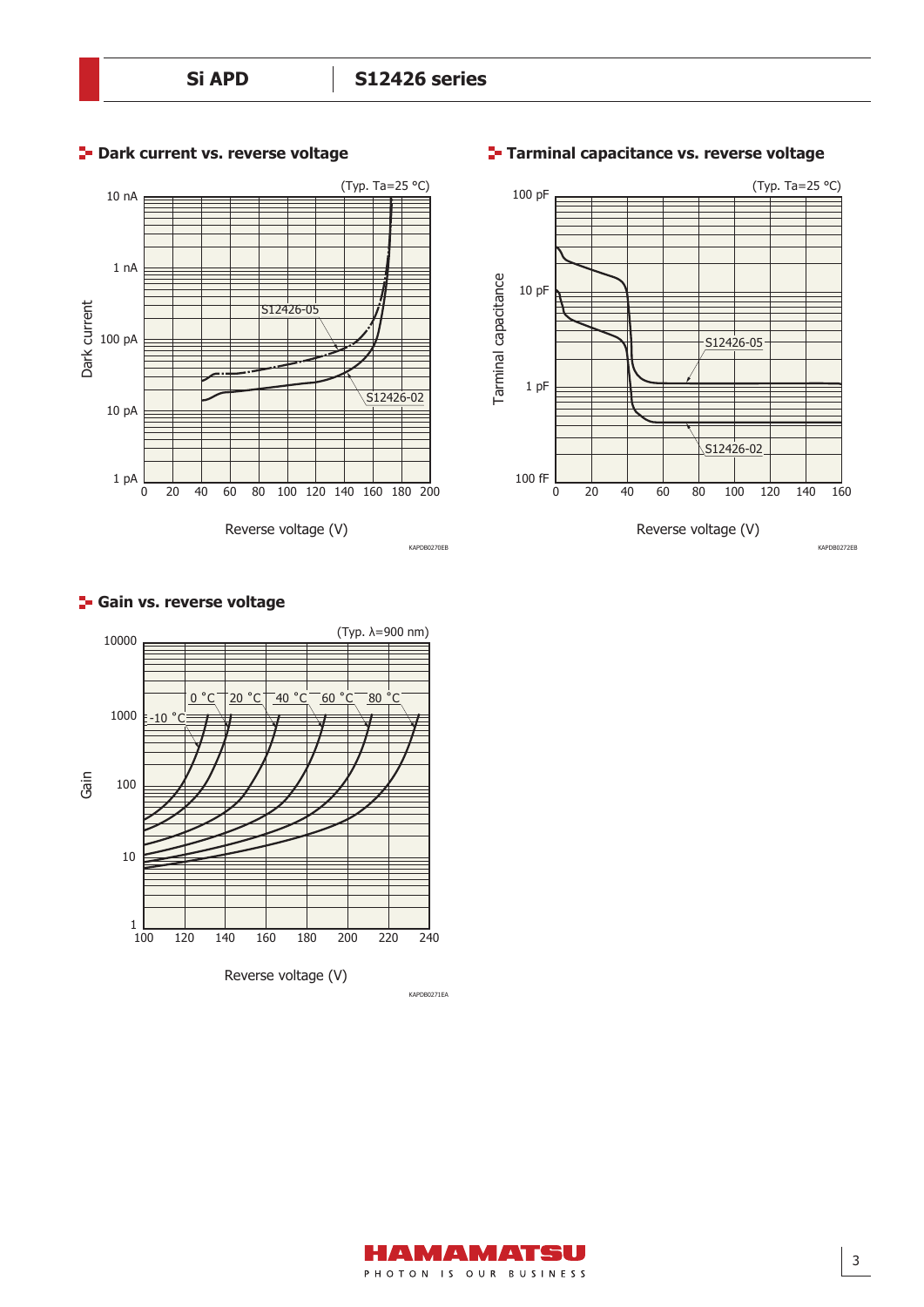





## **Tarminal capacitance vs. reverse voltage**

#### **F-** Gain vs. reverse voltage





KAPDB0272EB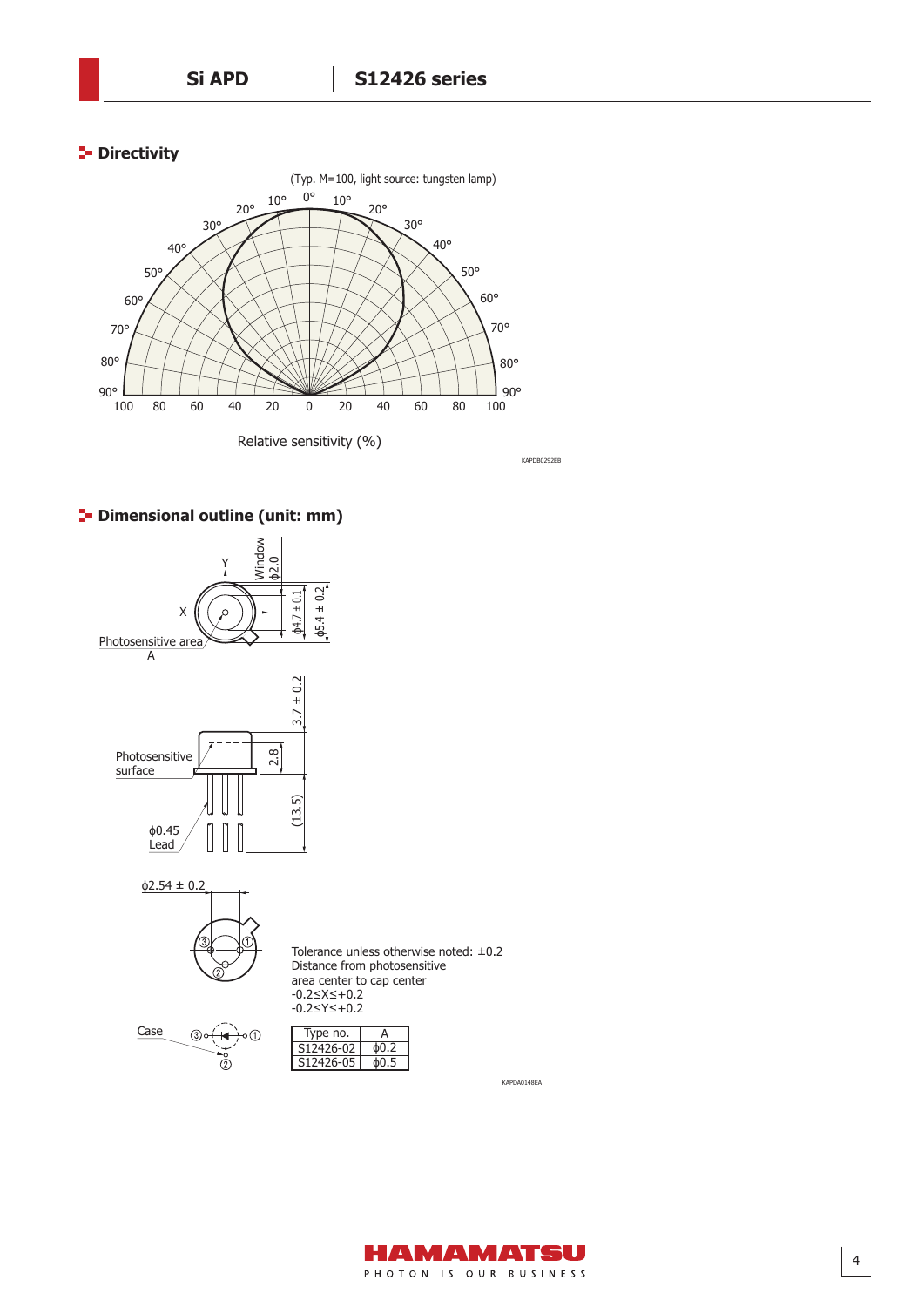## **Directivity**



KAPDB0292EB

# **P** Dimensional outline (unit: mm)





Distance from photosensitive area center to cap center -0.2≤X≤+0.2 -0.2≤Y≤+0.2 Tolerance unless otherwise noted: ±0.2



| Type no.  | Д    |
|-----------|------|
| S12426-02 | Ф0.2 |
| S12426-05 | φО.5 |
|           |      |

KAPDA0148EA